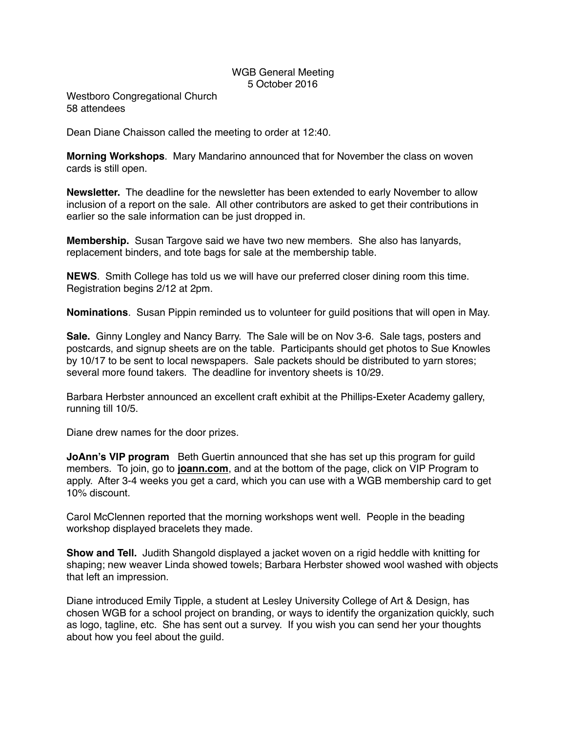## WGB General Meeting 5 October 2016

Westboro Congregational Church 58 attendees

Dean Diane Chaisson called the meeting to order at 12:40.

**Morning Workshops**. Mary Mandarino announced that for November the class on woven cards is still open.

**Newsletter.** The deadline for the newsletter has been extended to early November to allow inclusion of a report on the sale. All other contributors are asked to get their contributions in earlier so the sale information can be just dropped in.

**Membership.** Susan Targove said we have two new members. She also has lanyards, replacement binders, and tote bags for sale at the membership table.

**NEWS**. Smith College has told us we will have our preferred closer dining room this time. Registration begins 2/12 at 2pm.

**Nominations**. Susan Pippin reminded us to volunteer for guild positions that will open in May.

**Sale.** Ginny Longley and Nancy Barry. The Sale will be on Nov 3-6. Sale tags, posters and postcards, and signup sheets are on the table. Participants should get photos to Sue Knowles by 10/17 to be sent to local newspapers. Sale packets should be distributed to yarn stores; several more found takers. The deadline for inventory sheets is 10/29.

Barbara Herbster announced an excellent craft exhibit at the Phillips-Exeter Academy gallery, running till 10/5.

Diane drew names for the door prizes.

**JoAnn's VIP program** Beth Guertin announced that she has set up this program for guild members. To join, go to **[joann.com](http://joann.com)**, and at the bottom of the page, click on VIP Program to apply. After 3-4 weeks you get a card, which you can use with a WGB membership card to get 10% discount.

Carol McClennen reported that the morning workshops went well. People in the beading workshop displayed bracelets they made.

**Show and Tell.** Judith Shangold displayed a jacket woven on a rigid heddle with knitting for shaping; new weaver Linda showed towels; Barbara Herbster showed wool washed with objects that left an impression.

Diane introduced Emily Tipple, a student at Lesley University College of Art & Design, has chosen WGB for a school project on branding, or ways to identify the organization quickly, such as logo, tagline, etc. She has sent out a survey. If you wish you can send her your thoughts about how you feel about the guild.